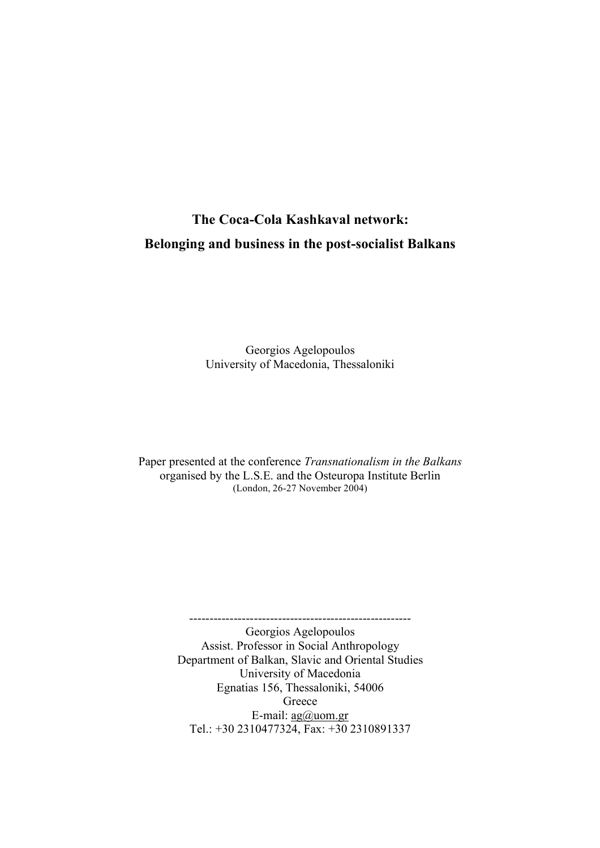# **The Coca-Cola Kashkaval network: Βelonging and business in the post-socialist Balkans**

Georgios Agelopoulos University of Macedonia, Thessaloniki

Paper presented at the conference *Transnationalism in the Balkans* organised by the L.S.E. and the Osteuropa Institute Berlin (London, 26-27 November 2004)

> ------------------------------------------------------- Georgios Agelopoulos Assist. Professor in Social Anthropology Department of Balkan, Slavic and Oriental Studies University of Macedonia Egnatias 156, Thessaloniki, 54006 Greece E-mail: ag@uom.gr Tel.: +30 2310477324, Fax: +30 2310891337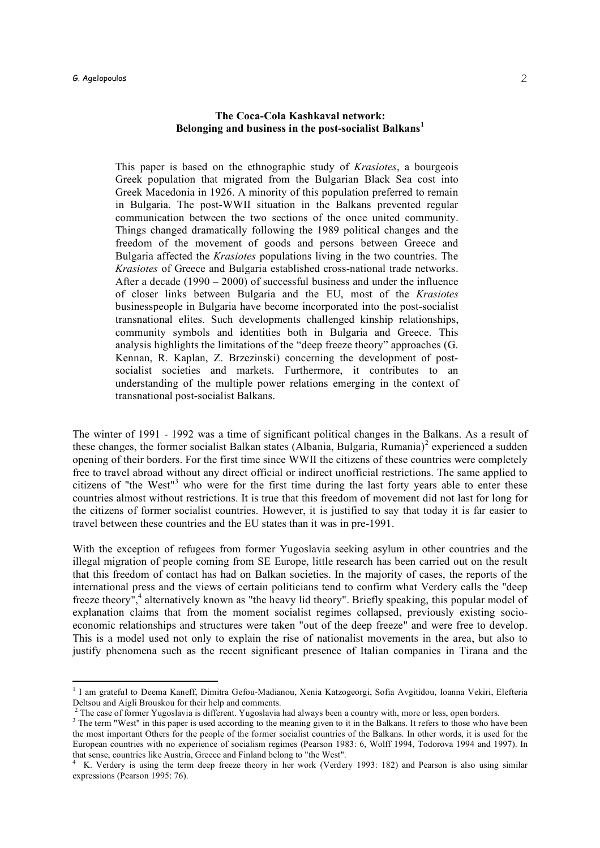### $\bf G$ . Agelopoulos  $\bf Z$

### **The Coca-Cola Kashkaval network: Βelonging and business in the post-socialist Balkans<sup>1</sup>**

This paper is based on the ethnographic study of *Krasiotes*, a bourgeois Greek population that migrated from the Bulgarian Black Sea cost into Greek Macedonia in 1926. A minority of this population preferred to remain in Bulgaria. The post-WWII situation in the Balkans prevented regular communication between the two sections of the once united community. Things changed dramatically following the 1989 political changes and the freedom of the movement of goods and persons between Greece and Bulgaria affected the *Krasiotes* populations living in the two countries. The *Krasiotes* of Greece and Bulgaria established cross-national trade networks. After a decade (1990 – 2000) of successful business and under the influence of closer links between Bulgaria and the EU, most of the *Krasiotes* businesspeople in Bulgaria have become incorporated into the post-socialist transnational elites. Such developments challenged kinship relationships, community symbols and identities both in Bulgaria and Greece. This analysis highlights the limitations of the "deep freeze theory" approaches (G. Kennan, R. Kaplan, Z. Brzezinski) concerning the development of postsocialist societies and markets. Furthermore, it contributes to an understanding of the multiple power relations emerging in the context of transnational post-socialist Balkans.

The winter of 1991 - 1992 was a time of significant political changes in the Balkans. As a result of these changes, the former socialist Balkan states (Albania, Bulgaria, Rumania)<sup>2</sup> experienced a sudden opening of their borders. For the first time since WWII the citizens of these countries were completely free to travel abroad without any direct official or indirect unofficial restrictions. The same applied to citizens of "the West"<sup>3</sup> who were for the first time during the last forty years able to enter these countries almost without restrictions. It is true that this freedom of movement did not last for long for the citizens of former socialist countries. However, it is justified to say that today it is far easier to travel between these countries and the EU states than it was in pre-1991.

With the exception of refugees from former Yugoslavia seeking asylum in other countries and the illegal migration of people coming from SE Europe, little research has been carried out on the result that this freedom of contact has had on Balkan societies. In the majority of cases, the reports of the international press and the views of certain politicians tend to confirm what Verdery calls the "deep freeze theory",<sup>4</sup> alternatively known as "the heavy lid theory". Briefly speaking, this popular model of explanation claims that from the moment socialist regimes collapsed, previously existing socioeconomic relationships and structures were taken "out of the deep freeze" and were free to develop. This is a model used not only to explain the rise of nationalist movements in the area, but also to justify phenomena such as the recent significant presence of Italian companies in Tirana and the

<sup>&</sup>lt;sup>1</sup> I am grateful to Deema Kaneff, Dimitra Gefou-Madianou, Xenia Katzogeorgi, Sofia Avgitidou, Ioanna Vekiri, Elefteria<br>Deltsou and Aigli Brouskou for their help and comments.

 $3$  The case of former Yugoslavia is different. Yugoslavia had always been a country with, more or less, open borders.<br> $3$  The term "West" in this paper is used according to the meaning given to it in the Balkans. It refe the most important Others for the people of the former socialist countries of the Balkans. In other words, it is used for the European countries with no experience of socialism regimes (Pearson 1983: 6, Wolff 1994, Todorova 1994 and 1997). In that sense, countries like Austria, Greece and Finland belong to "the West".<br><sup>4</sup> K. Verdery is using the term deep freeze theory in her work (Verdery 1993: 182) and Pearson is also using similar

expressions (Pearson 1995: 76).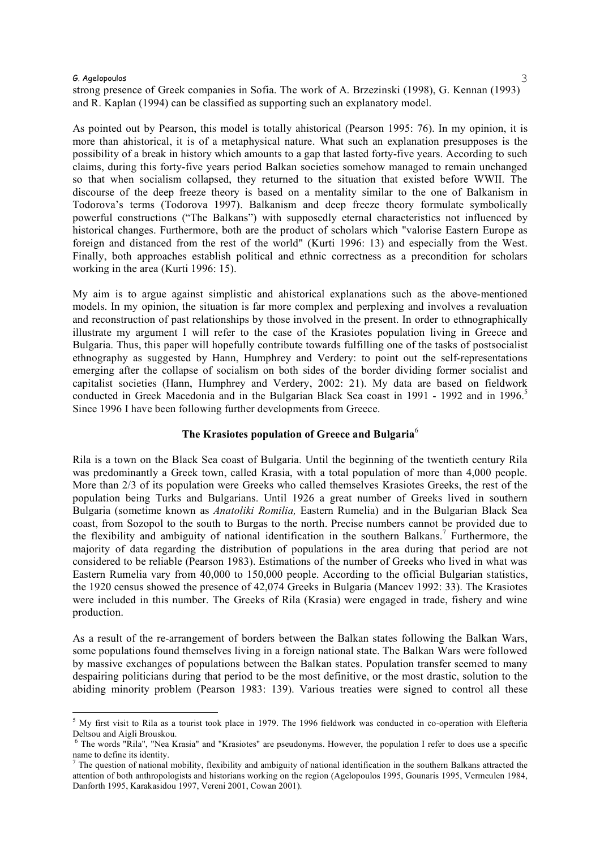strong presence of Greek companies in Sofia. The work of A. Brzezinski (1998), G. Kennan (1993) and R. Kaplan (1994) can be classified as supporting such an explanatory model.

As pointed out by Pearson, this model is totally ahistorical (Pearson 1995: 76). In my opinion, it is more than ahistorical, it is of a metaphysical nature. What such an explanation presupposes is the possibility of a break in history which amounts to a gap that lasted forty-five years. According to such claims, during this forty-five years period Balkan societies somehow managed to remain unchanged so that when socialism collapsed, they returned to the situation that existed before WWII. The discourse of the deep freeze theory is based on a mentality similar to the one of Balkanism in Todorova's terms (Todorova 1997). Balkanism and deep freeze theory formulate symbolically powerful constructions ("The Balkans") with supposedly eternal characteristics not influenced by historical changes. Furthermore, both are the product of scholars which "valorise Eastern Europe as foreign and distanced from the rest of the world" (Kurti 1996: 13) and especially from the West. Finally, both approaches establish political and ethnic correctness as a precondition for scholars working in the area (Kurti 1996: 15).

My aim is to argue against simplistic and ahistorical explanations such as the above-mentioned models. In my opinion, the situation is far more complex and perplexing and involves a revaluation and reconstruction of past relationships by those involved in the present. In order to ethnographically illustrate my argument I will refer to the case of the Krasiotes population living in Greece and Bulgaria. Thus, this paper will hopefully contribute towards fulfilling one of the tasks of postsocialist ethnography as suggested by Hann, Humphrey and Verdery: to point out the self-representations emerging after the collapse of socialism on both sides of the border dividing former socialist and capitalist societies (Hann, Humphrey and Verdery, 2002: 21). My data are based on fieldwork conducted in Greek Macedonia and in the Bulgarian Black Sea coast in 1991 - 1992 and in 1996. 5 Since 1996 I have been following further developments from Greece.

#### **The Krasiotes population of Greece and Bulgaria**<sup>6</sup>

Rila is a town on the Black Sea coast of Bulgaria. Until the beginning of the twentieth century Rila was predominantly a Greek town, called Krasia, with a total population of more than 4,000 people. More than 2/3 of its population were Greeks who called themselves Krasiotes Greeks, the rest of the population being Turks and Bulgarians. Until 1926 a great number of Greeks lived in southern Bulgaria (sometime known as *Anatoliki Romilia,* Eastern Rumelia) and in the Bulgarian Black Sea coast, from Sozopol to the south to Burgas to the north. Precise numbers cannot be provided due to the flexibility and ambiguity of national identification in the southern Balkans. <sup>7</sup> Furthermore, the majority of data regarding the distribution of populations in the area during that period are not considered to be reliable (Pearson 1983). Estimations of the number of Greeks who lived in what was Eastern Rumelia vary from 40,000 to 150,000 people. According to the official Bulgarian statistics, the 1920 census showed the presence of 42,074 Greeks in Bulgaria (Mancev 1992: 33). The Krasiotes were included in this number. The Greeks of Rila (Krasia) were engaged in trade, fishery and wine production.

As a result of the re-arrangement of borders between the Balkan states following the Balkan Wars, some populations found themselves living in a foreign national state. The Balkan Wars were followed by massive exchanges of populations between the Balkan states. Population transfer seemed to many despairing politicians during that period to be the most definitive, or the most drastic, solution to the abiding minority problem (Pearson 1983: 139). Various treaties were signed to control all these

 $5$  My first visit to Rila as a tourist took place in 1979. The 1996 fieldwork was conducted in co-operation with Elefteria Deltsou and Aigli Brouskou.<br><sup>6</sup> The words "Rila", "Nea Krasia" and "Krasiotes" are pseudonyms. However, the population I refer to does use a specific

name to define its identity.<br><sup>7</sup> The question of national mobility, flexibility and ambiguity of national identification in the southern Balkans attracted the

attention of both anthropologists and historians working on the region (Agelopoulos 1995, Gounaris 1995, Vermeulen 1984, Danforth 1995, Karakasidou 1997, Vereni 2001, Cowan 2001).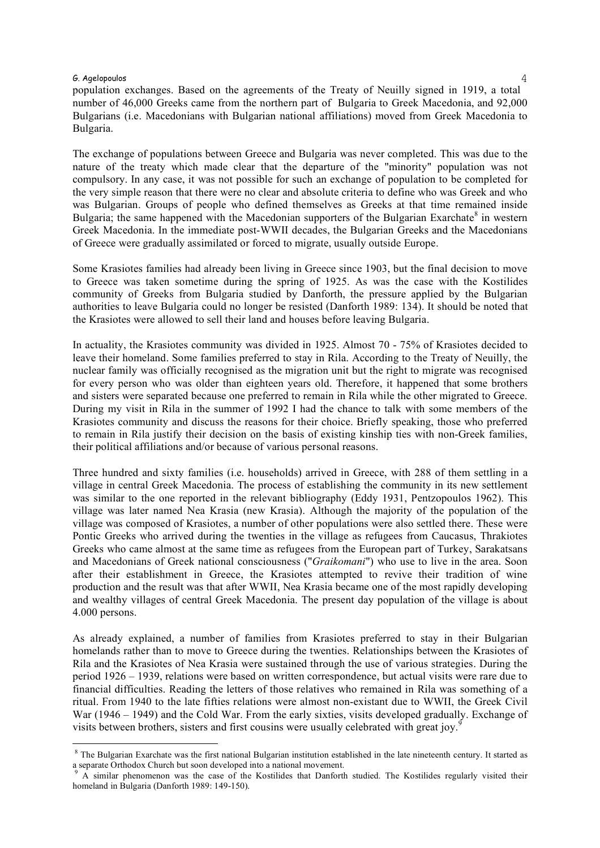$\bm{G}$ . Agelopoulos  $4$ population exchanges. Based on the agreements of the Treaty of Neuilly signed in 1919, a total number of 46,000 Greeks came from the northern part of Bulgaria to Greek Macedonia, and 92,000 Bulgarians (i.e. Macedonians with Bulgarian national affiliations) moved from Greek Macedonia to Bulgaria.

The exchange of populations between Greece and Bulgaria was never completed. This was due to the nature of the treaty which made clear that the departure of the "minority" population was not compulsory. In any case, it was not possible for such an exchange of population to be completed for the very simple reason that there were no clear and absolute criteria to define who was Greek and who was Bulgarian. Groups of people who defined themselves as Greeks at that time remained inside Bulgaria; the same happened with the Macedonian supporters of the Bulgarian Exarchate<sup>8</sup> in western Greek Macedonia. In the immediate post-WWII decades, the Bulgarian Greeks and the Macedonians of Greece were gradually assimilated or forced to migrate, usually outside Europe.

Some Krasiotes families had already been living in Greece since 1903, but the final decision to move to Greece was taken sometime during the spring of 1925. As was the case with the Kostilides community of Greeks from Bulgaria studied by Danforth, the pressure applied by the Bulgarian authorities to leave Bulgaria could no longer be resisted (Danforth 1989: 134). It should be noted that the Krasiotes were allowed to sell their land and houses before leaving Bulgaria.

In actuality, the Krasiotes community was divided in 1925. Almost 70 - 75% of Krasiotes decided to leave their homeland. Some families preferred to stay in Rila. According to the Treaty of Neuilly, the nuclear family was officially recognised as the migration unit but the right to migrate was recognised for every person who was older than eighteen years old. Therefore, it happened that some brothers and sisters were separated because one preferred to remain in Rila while the other migrated to Greece. During my visit in Rila in the summer of 1992 I had the chance to talk with some members of the Krasiotes community and discuss the reasons for their choice. Briefly speaking, those who preferred to remain in Rila justify their decision on the basis of existing kinship ties with non-Greek families, their political affiliations and/or because of various personal reasons.

Three hundred and sixty families (i.e. households) arrived in Greece, with 288 of them settling in a village in central Greek Macedonia. The process of establishing the community in its new settlement was similar to the one reported in the relevant bibliography (Eddy 1931, Pentzopoulos 1962). This village was later named Nea Krasia (new Krasia). Although the majority of the population of the village was composed of Krasiotes, a number of other populations were also settled there. These were Pontic Greeks who arrived during the twenties in the village as refugees from Caucasus, Thrakiotes Greeks who came almost at the same time as refugees from the European part of Turkey, Sarakatsans and Macedonians of Greek national consciousness ("*Graikomani*") who use to live in the area. Soon after their establishment in Greece, the Krasiotes attempted to revive their tradition of wine production and the result was that after WWII, Nea Krasia became one of the most rapidly developing and wealthy villages of central Greek Macedonia. The present day population of the village is about 4.000 persons.

As already explained, a number of families from Krasiotes preferred to stay in their Bulgarian homelands rather than to move to Greece during the twenties. Relationships between the Krasiotes of Rila and the Krasiotes of Nea Krasia were sustained through the use of various strategies. During the period 1926 – 1939, relations were based on written correspondence, but actual visits were rare due to financial difficulties. Reading the letters of those relatives who remained in Rila was something of a ritual. From 1940 to the late fifties relations were almost non-existant due to WWII, the Greek Civil War (1946 – 1949) and the Cold War. From the early sixties, visits developed gradually. Exchange of visits between brothers, sisters and first cousins were usually celebrated with great joy.<sup>9</sup>

<sup>&</sup>lt;sup>8</sup> The Bulgarian Exarchate was the first national Bulgarian institution established in the late nineteenth century. It started as a separate Orthodox Church but soon developed into a national movement.<br><sup>9</sup> A similar phenomenon was the case of the Kostilides that Danforth studied. The Kostilides regularly visited their

homeland in Bulgaria (Danforth 1989: 149-150).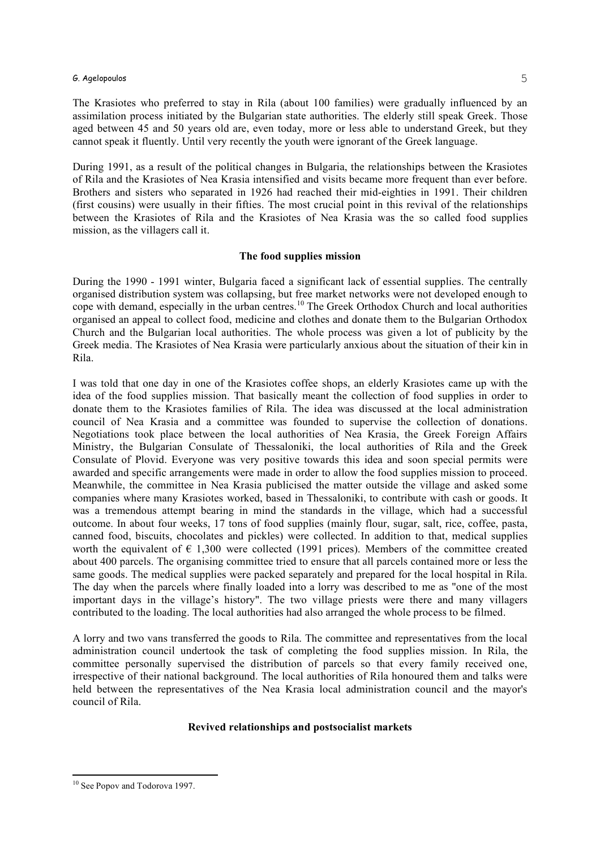The Krasiotes who preferred to stay in Rila (about 100 families) were gradually influenced by an assimilation process initiated by the Bulgarian state authorities. The elderly still speak Greek. Those aged between 45 and 50 years old are, even today, more or less able to understand Greek, but they cannot speak it fluently. Until very recently the youth were ignorant of the Greek language.

During 1991, as a result of the political changes in Bulgaria, the relationships between the Krasiotes of Rila and the Krasiotes of Nea Krasia intensified and visits became more frequent than ever before. Brothers and sisters who separated in 1926 had reached their mid-eighties in 1991. Their children (first cousins) were usually in their fifties. The most crucial point in this revival of the relationships between the Krasiotes of Rila and the Krasiotes of Nea Krasia was the so called food supplies mission, as the villagers call it.

#### **The food supplies mission**

During the 1990 - 1991 winter, Bulgaria faced a significant lack of essential supplies. The centrally organised distribution system was collapsing, but free market networks were not developed enough to cope with demand, especially in the urban centres. <sup>10</sup> The Greek Orthodox Church and local authorities organised an appeal to collect food, medicine and clothes and donate them to the Bulgarian Orthodox Church and the Bulgarian local authorities. The whole process was given a lot of publicity by the Greek media. The Krasiotes of Nea Krasia were particularly anxious about the situation of their kin in Rila.

I was told that one day in one of the Krasiotes coffee shops, an elderly Krasiotes came up with the idea of the food supplies mission. That basically meant the collection of food supplies in order to donate them to the Krasiotes families of Rila. The idea was discussed at the local administration council of Nea Krasia and a committee was founded to supervise the collection of donations. Negotiations took place between the local authorities of Nea Krasia, the Greek Foreign Affairs Ministry, the Bulgarian Consulate of Thessaloniki, the local authorities of Rila and the Greek Consulate of Plovid. Everyone was very positive towards this idea and soon special permits were awarded and specific arrangements were made in order to allow the food supplies mission to proceed. Meanwhile, the committee in Nea Krasia publicised the matter outside the village and asked some companies where many Krasiotes worked, based in Thessaloniki, to contribute with cash or goods. It was a tremendous attempt bearing in mind the standards in the village, which had a successful outcome. In about four weeks, 17 tons of food supplies (mainly flour, sugar, salt, rice, coffee, pasta, canned food, biscuits, chocolates and pickles) were collected. In addition to that, medical supplies worth the equivalent of  $\epsilon$  1,300 were collected (1991 prices). Members of the committee created about 400 parcels. The organising committee tried to ensure that all parcels contained more or less the same goods. The medical supplies were packed separately and prepared for the local hospital in Rila. The day when the parcels where finally loaded into a lorry was described to me as "one of the most important days in the village's history". The two village priests were there and many villagers contributed to the loading. The local authorities had also arranged the whole process to be filmed.

A lorry and two vans transferred the goods to Rila. The committee and representatives from the local administration council undertook the task of completing the food supplies mission. In Rila, the committee personally supervised the distribution of parcels so that every family received one, irrespective of their national background. The local authorities of Rila honoured them and talks were held between the representatives of the Nea Krasia local administration council and the mayor's council of Rila.

# **Revived relationships and postsocialist markets**

<sup>&</sup>lt;sup>10</sup> See Popov and Todorova 1997.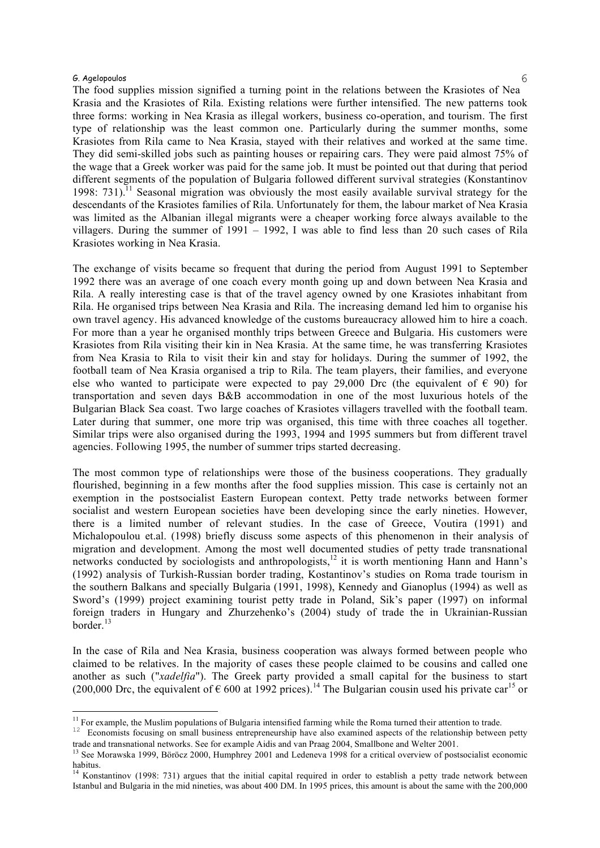The food supplies mission signified a turning point in the relations between the Krasiotes of Nea Krasia and the Krasiotes of Rila. Existing relations were further intensified. The new patterns took three forms: working in Nea Krasia as illegal workers, business co-operation, and tourism. The first type of relationship was the least common one. Particularly during the summer months, some Krasiotes from Rila came to Nea Krasia, stayed with their relatives and worked at the same time. They did semi-skilled jobs such as painting houses or repairing cars. They were paid almost 75% of the wage that a Greek worker was paid for the same job. It must be pointed out that during that period different segments of the population of Bulgaria followed different survival strategies (Konstantinov 1998: 731).<sup>11</sup> Seasonal migration was obviously the most easily available survival strategy for the descendants of the Krasiotes families of Rila. Unfortunately for them, the labour market of Nea Krasia was limited as the Albanian illegal migrants were a cheaper working force always available to the villagers. During the summer of 1991 – 1992, I was able to find less than 20 such cases of Rila Krasiotes working in Nea Krasia.

The exchange of visits became so frequent that during the period from August 1991 to September 1992 there was an average of one coach every month going up and down between Nea Krasia and Rila. A really interesting case is that of the travel agency owned by one Krasiotes inhabitant from Rila. He organised trips between Nea Krasia and Rila. The increasing demand led him to organise his own travel agency. His advanced knowledge of the customs bureaucracy allowed him to hire a coach. For more than a year he organised monthly trips between Greece and Bulgaria. His customers were Krasiotes from Rila visiting their kin in Nea Krasia. At the same time, he was transferring Krasiotes from Nea Krasia to Rila to visit their kin and stay for holidays. During the summer of 1992, the football team of Nea Krasia organised a trip to Rila. The team players, their families, and everyone else who wanted to participate were expected to pay 29,000 Drc (the equivalent of  $\epsilon$  90) for transportation and seven days B&B accommodation in one of the most luxurious hotels of the Bulgarian Black Sea coast. Two large coaches of Krasiotes villagers travelled with the football team. Later during that summer, one more trip was organised, this time with three coaches all together. Similar trips were also organised during the 1993, 1994 and 1995 summers but from different travel agencies. Following 1995, the number of summer trips started decreasing.

The most common type of relationships were those of the business cooperations. They gradually flourished, beginning in a few months after the food supplies mission. This case is certainly not an exemption in the postsocialist Eastern European context. Petty trade networks between former socialist and western European societies have been developing since the early nineties. However, there is a limited number of relevant studies. In the case of Greece, Voutira (1991) and Michalopoulou et.al. (1998) briefly discuss some aspects of this phenomenon in their analysis of migration and development. Among the most well documented studies of petty trade transnational networks conducted by sociologists and anthropologists,<sup>12</sup> it is worth mentioning Hann and Hann's (1992) analysis of Turkish-Russian border trading, Kostantinov's studies on Roma trade tourism in the southern Balkans and specially Bulgaria (1991, 1998), Kennedy and Gianoplus (1994) as well as Sword's (1999) project examining tourist petty trade in Poland, Sik's paper (1997) on informal foreign traders in Hungary and Zhurzehenko's (2004) study of trade the in Ukrainian-Russian border. 13

In the case of Rila and Nea Krasia, business cooperation was always formed between people who claimed to be relatives. In the majority of cases these people claimed to be cousins and called one another as such ("*xadelfia*"). The Greek party provided a small capital for the business to start (200,000 Drc, the equivalent of  $\epsilon$  600 at 1992 prices).<sup>14</sup> The Bulgarian cousin used his private car<sup>15</sup> or

<sup>&</sup>lt;sup>11</sup> For example, the Muslim populations of Bulgaria intensified farming while the Roma turned their attention to trade.<br><sup>12</sup> Economists focusing on small business entrepreneurship have also examined aspects of the relati trade and transnational networks. See for example Aidis and van Praag 2004, Smallbone and Welter 2001.<br><sup>13</sup> See Morawska 1999, Böröcz 2000, Humphrey 2001 and Ledeneva 1998 for a critical overview of postsocialist economic

habitus.<br><sup>14</sup> Konstantinov (1998: 731) argues that the initial capital required in order to establish a petty trade network between

Istanbul and Bulgaria in the mid nineties, was about 400 DM. In 1995 prices, this amount is about the same with the 200,000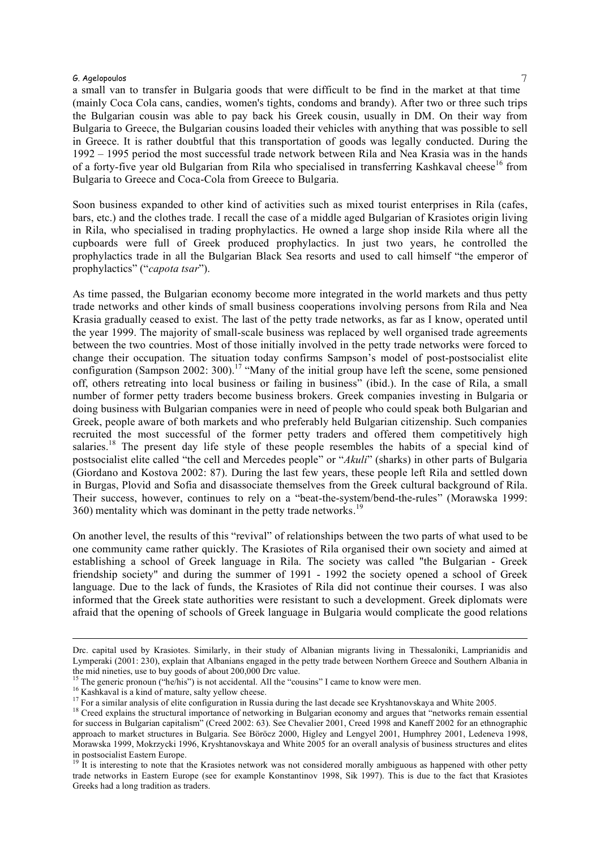a small van to transfer in Bulgaria goods that were difficult to be find in the market at that time (mainly Coca Cola cans, candies, women's tights, condoms and brandy). After two or three such trips the Bulgarian cousin was able to pay back his Greek cousin, usually in DM. On their way from Bulgaria to Greece, the Bulgarian cousins loaded their vehicles with anything that was possible to sell in Greece. It is rather doubtful that this transportation of goods was legally conducted. During the 1992 – 1995 period the most successful trade network between Rila and Nea Krasia was in the hands of a forty-five year old Bulgarian from Rila who specialised in transferring Kashkaval cheese<sup>16</sup> from Bulgaria to Greece and Coca-Cola from Greece to Bulgaria.

Soon business expanded to other kind of activities such as mixed tourist enterprises in Rila (cafes, bars, etc.) and the clothes trade. I recall the case of a middle aged Bulgarian of Krasiotes origin living in Rila, who specialised in trading prophylactics. He owned a large shop inside Rila where all the cupboards were full of Greek produced prophylactics. In just two years, he controlled the prophylactics trade in all the Bulgarian Black Sea resorts and used to call himself "the emperor of prophylactics" ("*capota tsar*").

As time passed, the Bulgarian economy become more integrated in the world markets and thus petty trade networks and other kinds of small business cooperations involving persons from Rila and Nea Krasia gradually ceased to exist. The last of the petty trade networks, as far as I know, operated until the year 1999. The majority of small-scale business was replaced by well organised trade agreements between the two countries. Most of those initially involved in the petty trade networks were forced to change their occupation. The situation today confirms Sampson's model of post-postsocialist elite configuration (Sampson 2002: 300).<sup>17</sup> "Many of the initial group have left the scene, some pensioned off, others retreating into local business or failing in business" (ibid.). In the case of Rila, a small number of former petty traders become business brokers. Greek companies investing in Bulgaria or doing business with Bulgarian companies were in need of people who could speak both Bulgarian and Greek, people aware of both markets and who preferably held Bulgarian citizenship. Such companies recruited the most successful of the former petty traders and offered them competitively high salaries.<sup>18</sup> The present day life style of these people resembles the habits of a special kind of postsocialist elite called "the cell and Mercedes people" or "*Akuli*" (sharks) in other parts of Bulgaria (Giordano and Kostova 2002: 87). During the last few years, these people left Rila and settled down in Burgas, Plovid and Sofia and disassociate themselves from the Greek cultural background of Rila. Their success, however, continues to rely on a "beat-the-system/bend-the-rules" (Morawska 1999: 360) mentality which was dominant in the petty trade networks.<sup>19</sup>

On another level, the results of this "revival" of relationships between the two parts of what used to be one community came rather quickly. The Krasiotes of Rila organised their own society and aimed at establishing a school of Greek language in Rila. The society was called "the Bulgarian - Greek friendship society" and during the summer of 1991 - 1992 the society opened a school of Greek language. Due to the lack of funds, the Krasiotes of Rila did not continue their courses. I was also informed that the Greek state authorities were resistant to such a development. Greek diplomats were afraid that the opening of schools of Greek language in Bulgaria would complicate the good relations

i

Drc. capital used by Krasiotes. Similarly, in their study of Albanian migrants living in Thessaloniki, Lamprianidis and Lymperaki (2001: 230), explain that Albanians engaged in the petty trade between Northern Greece and Southern Albania in the mid nineties, use to buy goods of about 200,000 Drc value.<br><sup>15</sup> The generic pronoun ("he/his") is not accidental. All the "cousins" I came to know were men.<br><sup>16</sup> Kashkaval is a kind of mature, salty yellow cheese.<br><sup>17</sup>

for success in Bulgarian capitalism" (Creed 2002: 63). See Chevalier 2001, Creed 1998 and Kaneff 2002 for an ethnographic approach to market structures in Bulgaria. See Böröcz 2000, Higley and Lengyel 2001, Humphrey 2001, Ledeneva 1998, Morawska 1999, Mokrzycki 1996, Kryshtanovskaya and White 2005 for an overall analysis of business structures and elites in postsocialist Eastern Europe. <sup>19</sup> It is interesting to note that the Krasiotes network was not considered morally ambiguous as happened with other petty

trade networks in Eastern Europe (see for example Konstantinov 1998, Sik 1997). This is due to the fact that Krasiotes Greeks had a long tradition as traders.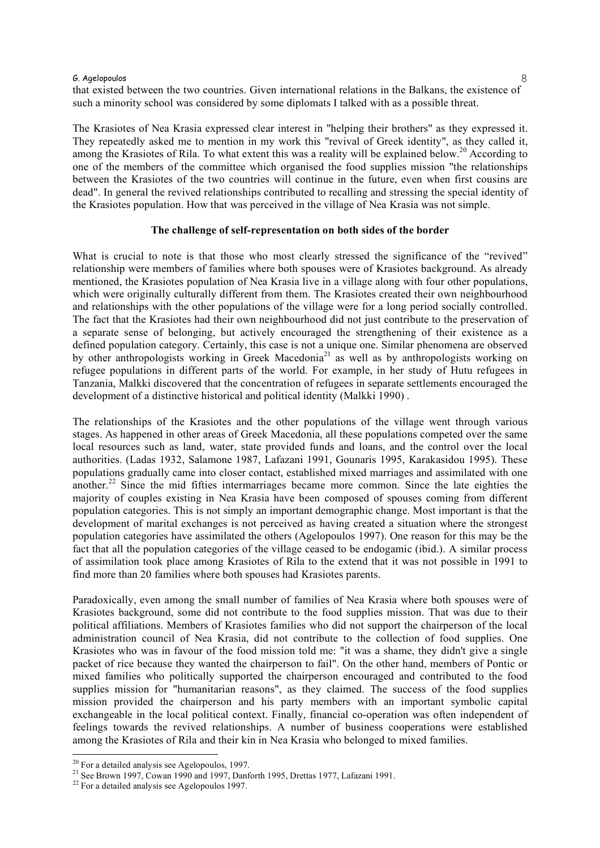that existed between the two countries. Given international relations in the Balkans, the existence of such a minority school was considered by some diplomats I talked with as a possible threat.

The Krasiotes of Nea Krasia expressed clear interest in "helping their brothers" as they expressed it. They repeatedly asked me to mention in my work this "revival of Greek identity", as they called it, among the Krasiotes of Rila. To what extent this was a reality will be explained below.<sup>20</sup> According to one of the members of the committee which organised the food supplies mission "the relationships between the Krasiotes of the two countries will continue in the future, even when first cousins are dead". In general the revived relationships contributed to recalling and stressing the special identity of the Krasiotes population. How that was perceived in the village of Nea Krasia was not simple.

# **The challenge of self-representation on both sides of the border**

What is crucial to note is that those who most clearly stressed the significance of the "revived" relationship were members of families where both spouses were of Krasiotes background. As already mentioned, the Krasiotes population of Nea Krasia live in a village along with four other populations, which were originally culturally different from them. The Krasiotes created their own neighbourhood and relationships with the other populations of the village were for a long period socially controlled. The fact that the Krasiotes had their own neighbourhood did not just contribute to the preservation of a separate sense of belonging, but actively encouraged the strengthening of their existence as a defined population category. Certainly, this case is not a unique one. Similar phenomena are observed by other anthropologists working in Greek Macedonia<sup>21</sup> as well as by anthropologists working on refugee populations in different parts of the world. For example, in her study of Hutu refugees in Tanzania, Malkki discovered that the concentration of refugees in separate settlements encouraged the development of a distinctive historical and political identity (Malkki 1990) .

The relationships of the Krasiotes and the other populations of the village went through various stages. As happened in other areas of Greek Macedonia, all these populations competed over the same local resources such as land, water, state provided funds and loans, and the control over the local authorities. (Ladas 1932, Salamone 1987, Lafazani 1991, Gounaris 1995, Karakasidou 1995). These populations gradually came into closer contact, established mixed marriages and assimilated with one another.<sup>22</sup> Since the mid fifties intermarriages became more common. Since the late eighties the majority of couples existing in Nea Krasia have been composed of spouses coming from different population categories. This is not simply an important demographic change. Most important is that the development of marital exchanges is not perceived as having created a situation where the strongest population categories have assimilated the others (Agelopoulos 1997). One reason for this may be the fact that all the population categories of the village ceased to be endogamic (ibid.). A similar process of assimilation took place among Krasiotes of Rila to the extend that it was not possible in 1991 to find more than 20 families where both spouses had Krasiotes parents.

Paradoxically, even among the small number of families of Nea Krasia where both spouses were of Krasiotes background, some did not contribute to the food supplies mission. That was due to their political affiliations. Members of Krasiotes families who did not support the chairperson of the local administration council of Nea Krasia, did not contribute to the collection of food supplies. One Krasiotes who was in favour of the food mission told me: "it was a shame, they didn't give a single packet of rice because they wanted the chairperson to fail". On the other hand, members of Pontic or mixed families who politically supported the chairperson encouraged and contributed to the food supplies mission for "humanitarian reasons", as they claimed. The success of the food supplies mission provided the chairperson and his party members with an important symbolic capital exchangeable in the local political context. Finally, financial co-operation was often independent of feelings towards the revived relationships. A number of business cooperations were established among the Krasiotes of Rila and their kin in Nea Krasia who belonged to mixed families.

 $20$  For a detailed analysis see Agelopoulos, 1997.

<sup>&</sup>lt;sup>21</sup> See Brown 1997, Cowan 1990 and 1997, Danforth 1995, Drettas 1977, Lafazani 1991.<br><sup>22</sup> For a detailed analysis see Agelopoulos 1997.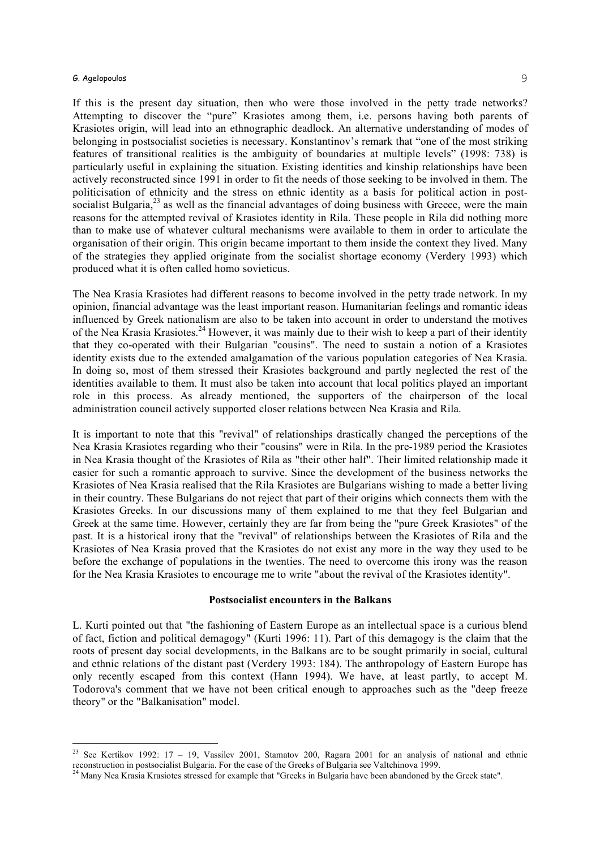If this is the present day situation, then who were those involved in the petty trade networks? Attempting to discover the "pure" Krasiotes among them, i.e. persons having both parents of Krasiotes origin, will lead into an ethnographic deadlock. An alternative understanding of modes of belonging in postsocialist societies is necessary. Konstantinov's remark that "one of the most striking features of transitional realities is the ambiguity of boundaries at multiple levels" (1998: 738) is particularly useful in explaining the situation. Existing identities and kinship relationships have been actively reconstructed since 1991 in order to fit the needs of those seeking to be involved in them. The politicisation of ethnicity and the stress on ethnic identity as a basis for political action in postsocialist Bulgaria, $^{23}$  as well as the financial advantages of doing business with Greece, were the main reasons for the attempted revival of Krasiotes identity in Rila. These people in Rila did nothing more than to make use of whatever cultural mechanisms were available to them in order to articulate the organisation of their origin. This origin became important to them inside the context they lived. Many of the strategies they applied originate from the socialist shortage economy (Verdery 1993) which produced what it is often called homo sovieticus.

The Nea Krasia Krasiotes had different reasons to become involved in the petty trade network. In my opinion, financial advantage was the least important reason. Humanitarian feelings and romantic ideas influenced by Greek nationalism are also to be taken into account in order to understand the motives of the Nea Krasia Krasiotes.<sup>24</sup> However, it was mainly due to their wish to keep a part of their identity that they co-operated with their Bulgarian "cousins". The need to sustain a notion of a Krasiotes identity exists due to the extended amalgamation of the various population categories of Nea Krasia. In doing so, most of them stressed their Krasiotes background and partly neglected the rest of the identities available to them. It must also be taken into account that local politics played an important role in this process. As already mentioned, the supporters of the chairperson of the local administration council actively supported closer relations between Nea Krasia and Rila.

It is important to note that this "revival" of relationships drastically changed the perceptions of the Nea Krasia Krasiotes regarding who their "cousins" were in Rila. In the pre-1989 period the Krasiotes in Nea Krasia thought of the Krasiotes of Rila as "their other half". Their limited relationship made it easier for such a romantic approach to survive. Since the development of the business networks the Krasiotes of Nea Krasia realised that the Rila Krasiotes are Bulgarians wishing to made a better living in their country. These Bulgarians do not reject that part of their origins which connects them with the Krasiotes Greeks. In our discussions many of them explained to me that they feel Bulgarian and Greek at the same time. However, certainly they are far from being the "pure Greek Krasiotes" of the past. It is a historical irony that the "revival" of relationships between the Krasiotes of Rila and the Krasiotes of Nea Krasia proved that the Krasiotes do not exist any more in the way they used to be before the exchange of populations in the twenties. The need to overcome this irony was the reason for the Nea Krasia Krasiotes to encourage me to write "about the revival of the Krasiotes identity".

#### **Postsocialist encounters in the Balkans**

L. Kurti pointed out that "the fashioning of Eastern Europe as an intellectual space is a curious blend of fact, fiction and political demagogy" (Kurti 1996: 11). Part of this demagogy is the claim that the roots of present day social developments, in the Balkans are to be sought primarily in social, cultural and ethnic relations of the distant past (Verdery 1993: 184). The anthropology of Eastern Europe has only recently escaped from this context (Hann 1994). We have, at least partly, to accept M. Todorova's comment that we have not been critical enough to approaches such as the "deep freeze theory" or the "Balkanisation" model.

<sup>&</sup>lt;sup>23</sup> See Kertikov 1992: 17 – 19, Vassilev 2001, Stamatov 200, Ragara 2001 for an analysis of national and ethnic reconstruction in postsocialist Bulgaria. For the case of the Greeks of Bulgaria see Valtchinova 1999. <sup>24</sup> Many Nea Krasia Krasiotes stressed for example that "Greeks in Bulgaria have been abandoned by the Greek state".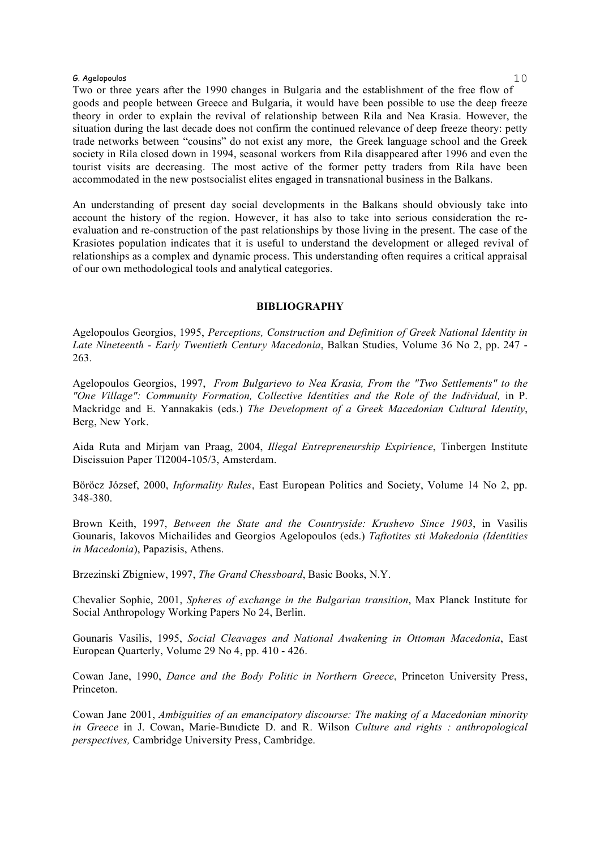Two or three years after the 1990 changes in Bulgaria and the establishment of the free flow of goods and people between Greece and Bulgaria, it would have been possible to use the deep freeze theory in order to explain the revival of relationship between Rila and Nea Krasia. However, the situation during the last decade does not confirm the continued relevance of deep freeze theory: petty trade networks between "cousins" do not exist any more, the Greek language school and the Greek society in Rila closed down in 1994, seasonal workers from Rila disappeared after 1996 and even the tourist visits are decreasing. The most active of the former petty traders from Rila have been accommodated in the new postsocialist elites engaged in transnational business in the Balkans.

An understanding of present day social developments in the Balkans should obviously take into account the history of the region. However, it has also to take into serious consideration the reevaluation and re-construction of the past relationships by those living in the present. The case of the Krasiotes population indicates that it is useful to understand the development or alleged revival of relationships as a complex and dynamic process. This understanding often requires a critical appraisal of our own methodological tools and analytical categories.

#### **BIBLIOGRAPHY**

Agelopoulos Georgios, 1995, *Perceptions, Construction and Definition of Greek National Identity in Late Nineteenth - Early Twentieth Century Macedonia*, Balkan Studies, Volume 36 No 2, pp. 247 - 263.

Agelopoulos Georgios, 1997, *From Bulgarievo to Nea Krasia, From the "Two Settlements" to the "One Village": Community Formation, Collective Identities and the Role of the Individual,* in P. Mackridge and E. Yannakakis (eds.) *The Development of a Greek Macedonian Cultural Identity*, Berg, New York.

Aida Ruta and Mirjam van Praag, 2004, *Illegal Entrepreneurship Expirience*, Tinbergen Institute Discissuion Paper TI2004-105/3, Amsterdam.

Böröcz József, 2000, *Informality Rules*, East European Politics and Society, Volume 14 No 2, pp. 348-380.

Brown Keith, 1997, *Between the State and the Countryside: Krushevo Since 1903*, in Vasilis Gounaris, Iakovos Michailides and Georgios Agelopoulos (eds.) *Taftotites sti Makedonia (Identities in Macedonia*), Papazisis, Athens.

Brzezinski Zbigniew, 1997, *The Grand Chessboard*, Basic Books, N.Y.

Chevalier Sophie, 2001, *Spheres of exchange in the Bulgarian transition*, Max Planck Institute for Social Anthropology Working Papers No 24, Berlin.

Gounaris Vasilis, 1995, *Social Cleavages and National Awakening in Ottoman Macedonia*, East European Quarterly, Volume 29 No 4, pp. 410 - 426.

Cowan Jane, 1990, *Dance and the Body Politic in Northern Greece*, Princeton University Press, Princeton.

Cowan Jane 2001, *Ambiguities of an emancipatory discourse: The making of a Macedonian minority in Greece* in J. Cowan**,** Marie-Bιnιdicte D. and R. Wilson *Culture and rights : anthropological perspectives,* Cambridge University Press, Cambridge.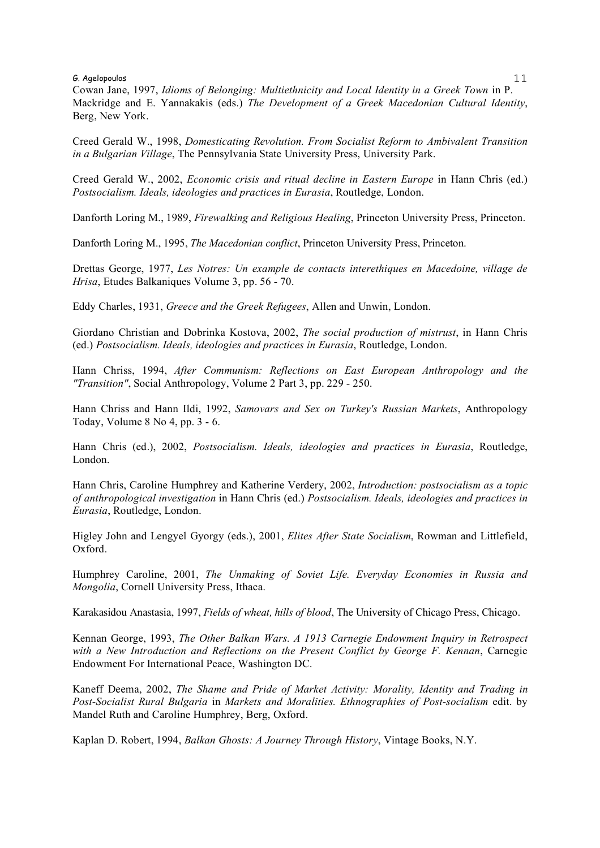Cowan Jane, 1997, *Idioms of Belonging: Multiethnicity and Local Identity in a Greek Town* in P. Mackridge and E. Yannakakis (eds.) *The Development of a Greek Macedonian Cultural Identity*, Berg, New York.

Creed Gerald W., 1998, *Domesticating Revolution. From Socialist Reform to Ambivalent Transition in a Bulgarian Village*, The Pennsylvania State University Press, University Park.

Creed Gerald W., 2002, *Economic crisis and ritual decline in Eastern Europe* in Hann Chris (ed.) *Postsocialism. Ideals, ideologies and practices in Eurasia*, Routledge, London.

Danforth Loring Μ., 1989, *Firewalking and Religious Healing*, Princeton University Press, Princeton.

Danforth Loring M., 1995, *The Macedonian conflict*, Princeton University Press, Princeton.

Drettas George, 1977, *Les Notres: Un example de contacts interethiques en Macedoine, village de Hrisa*, Etudes Balkaniques Volume 3, pp. 56 - 70.

Eddy Charles, 1931, *Greece and the Greek Refugees*, Allen and Unwin, London.

Giordano Christian and Dobrinka Kostova, 2002, *The social production of mistrust*, in Hann Chris (ed.) *Postsocialism. Ideals, ideologies and practices in Eurasia*, Routledge, London.

Hann Chriss, 1994, *After Communism: Reflections on East European Anthropology and the "Transition"*, Social Anthropology, Volume 2 Part 3, pp. 229 - 250.

Hann Chriss and Hann Ildi, 1992, *Samovars and Sex on Turkey's Russian Markets*, Anthropology Today, Volume 8 No 4, pp. 3 - 6.

Hann Chris (ed.), 2002, *Postsocialism. Ideals, ideologies and practices in Eurasia*, Routledge, London.

Hann Chris, Caroline Humphrey and Katherine Verdery, 2002, *Introduction: postsocialism as a topic of anthropological investigation* in Hann Chris (ed.) *Postsocialism. Ideals, ideologies and practices in Eurasia*, Routledge, London.

Higley John and Lengyel Gyorgy (eds.), 2001, *Elites After State Socialism*, Rowman and Littlefield, Oxford.

Humphrey Caroline, 2001, *The Unmaking of Soviet Life. Everyday Economies in Russia and Mongolia*, Cornell University Press, Ithaca.

Karakasidou Anastasia, 1997, *Fields of wheat, hills of blood*, The University of Chicago Press, Chicago.

Kennan George, 1993, *The Other Balkan Wars. A 1913 Carnegie Endowment Inquiry in Retrospect with a New Introduction and Reflections on the Present Conflict by George F. Kennan*, Carnegie Endowment For International Peace, Washington DC.

Kaneff Deema, 2002, *The Shame and Pride of Market Activity: Morality, Identity and Trading in Post-Socialist Rural Bulgaria* in *Markets and Moralities. Ethnographies of Post-socialism* edit. by Mandel Ruth and Caroline Humphrey, Berg, Oxford.

Kaplan D. Robert, 1994, *Balkan Ghosts: A Journey Through History*, Vintage Books, N.Y.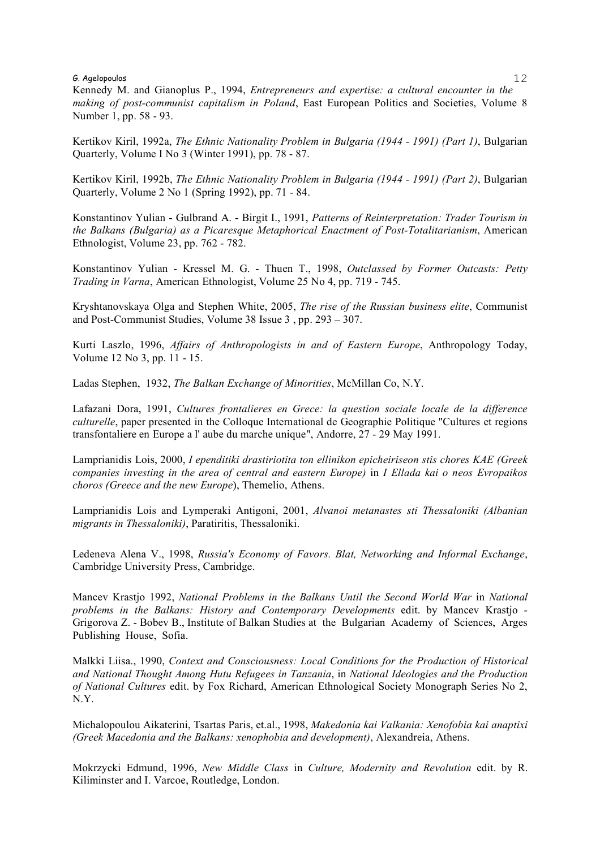Kennedy M. and Gianoplus P., 1994, *Entrepreneurs and expertise: a cultural encounter in the making of post-communist capitalism in Poland*, East European Politics and Societies, Volume 8 Number 1, pp. 58 - 93.

Kertikov Kiril, 1992a, *The Ethnic Nationality Problem in Bulgaria (1944 - 1991) (Part 1)*, Bulgarian Quarterly, Volume I No 3 (Winter 1991), pp. 78 - 87.

Kertikov Kiril, 1992b, *The Ethnic Nationality Problem in Bulgaria (1944 - 1991) (Part 2)*, Bulgarian Quarterly, Volume 2 No 1 (Spring 1992), pp. 71 - 84.

Konstantinov Yulian - Gulbrand A. - Birgit I., 1991, *Patterns of Reinterpretation: Trader Tourism in the Balkans (Bulgaria) as a Picaresque Metaphorical Enactment of Post-Totalitarianism*, American Ethnologist, Volume 23, pp. 762 - 782.

Konstantinov Yulian - Kressel M. G. - Thuen T., 1998, *Outclassed by Former Outcasts: Petty Trading in Varna*, American Ethnologist, Volume 25 No 4, pp. 719 - 745.

Kryshtanovskaya Olga and Stephen White, 2005, *The rise of the Russian business elite*, Communist and Post-Communist Studies, Volume 38 Issue 3 , pp. 293 – 307.

Kurti Laszlo, 1996, *Affairs of Anthropologists in and of Eastern Europe*, Anthropology Today, Volume 12 No 3, pp. 11 - 15.

Ladas Stephen, 1932, *The Balkan Exchange of Minorities*, McMillan Co, N.Y.

Lafazani Dora, 1991, *Cultures frontalieres en Grece: la question sociale locale de la difference culturelle*, paper presented in the Colloque International de Geographie Politique "Cultures et regions transfontaliere en Europe a l' aube du marche unique", Andorre, 27 - 29 May 1991.

Lamprianidis Lois, 2000, *I ependitiki drastiriotita ton ellinikon epicheiriseon stis chores KAE (Greek companies investing in the area of central and eastern Europe)* in *I Ellada kai o neos Evropaikos choros (Greece and the new Europe*), Themelio, Athens.

Lamprianidis Lois and Lymperaki Antigoni, 2001, *Alvanoi metanastes sti Thessaloniki (Albanian migrants in Thessaloniki)*, Paratiritis, Thessaloniki.

Ledeneva Alena V., 1998, *Russia's Economy of Favors. Blat, Networking and Informal Exchange*, Cambridge University Press, Cambridge.

Mancev Krastjo 1992, *National Problems in the Balkans Until the Second World War* in *National problems in the Balkans: History and Contemporary Developments* edit. by Mancev Krastjo - Grigorova Z. - Bobev B., Institute of Balkan Studies at the Bulgarian Academy of Sciences, Arges Publishing House, Sofia.

Malkki Liisa., 1990, *Context and Consciousness: Local Conditions for the Production of Historical and National Thought Among Hutu Refugees in Tanzania*, in *National Ideologies and the Production of National Cultures* edit. by Fox Richard, American Ethnological Society Monograph Series No 2, N.Υ.

Michalopoulou Aikaterini, Tsartas Paris, et.al., 1998, *Makedonia kai Valkania: Xenofobia kai anaptixi (Greek Macedonia and the Balkans: xenophobia and development)*, Alexandreia, Athens.

Mokrzycki Edmund, 1996, *New Middle Class* in *Culture, Modernity and Revolution* edit. by R. Kiliminster and I. Varcoe, Routledge, London.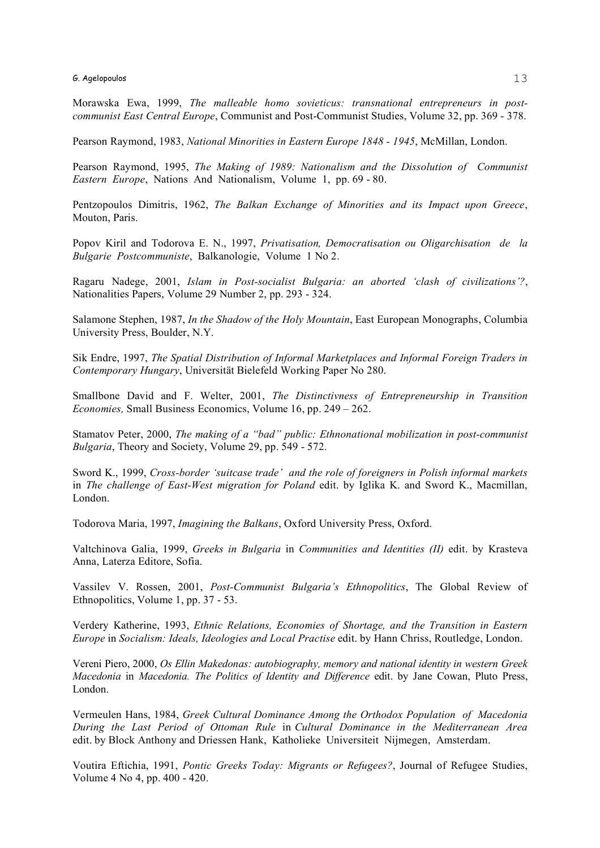Morawska Ewa, 1999, *The malleable homo sovieticus: transnational entrepreneurs in postcommunist East Central Europe*, Communist and Post-Communist Studies, Volume 32, pp. 369 - 378.

Pearson Raymond, 1983, *National Minorities in Eastern Europe 1848 - 1945*, McMillan, London.

Pearson Raymond, 1995, *The Making of 1989: Nationalism and the Dissolution of Communist Eastern Europe*, Nations And Nationalism, Volume 1, pp. 69 - 80.

Pentzopoulos Dimitris, 1962, *The Balkan Exchange of Minorities and its Impact upon Greece*, Mouton, Paris.

Popov Kiril and Todorova E. N., 1997, *Privatisation, Democratisation ou Oligarchisation de la Bulgarie Postcommuniste*, Balkanologie, Volume 1 No 2.

Ragaru Nadege, 2001, *Islam in Post-socialist Bulgaria: an aborted 'clash of civilizations'?*, Nationalities Papers, Volume 29 Number 2, pp. 293 - 324.

Salamone Stephen, 1987, *In the Shadow of the Holy Mountain*, East European Monographs, Columbia University Press, Boulder, N.Y.

Sik Endre, 1997, *The Spatial Distribution of Informal Marketplaces and Informal Foreign Traders in Contemporary Hungary*, Universität Bielefeld Working Paper No 280.

Smallbone David and F. Welter, 2001, *The Distinctivness of Entrepreneurship in Transition Economies,* Small Business Economics, Volume 16, pp. 249 – 262.

Stamatov Peter, 2000, *The making of a "bad" public: Ethnonational mobilization in post-communist Bulgaria*, Theory and Society, Volume 29, pp. 549 - 572.

Sword K., 1999, *Cross-border 'suitcase trade' and the role of foreigners in Polish informal markets* in *The challenge of East-West migration for Poland* edit. by Iglika K. and Sword K., Macmillan, London.

Todorova Maria, 1997, *Imagining the Balkans*, Oxford University Press, Oxford.

Valtchinova Galia, 1999, *Greeks in Bulgaria* in *Communities and Identities (II)* edit. by Krasteva Anna, Laterza Editore, Sofia.

Vassilev V. Rossen, 2001, *Post-Communist Bulgaria's Ethnopolitics*, The Global Review of Ethnopolitics, Volume 1, pp. 37 - 53.

Verdery Katherine, 1993, *Ethnic Relations, Economies of Shortage, and the Transition in Eastern Europe* in *Socialism: Ideals, Ideologies and Local Practise* edit. by Hann Chriss, Routledge, London.

Vereni Piero, 2000, *Os Ellin Makedonas: autobiography, memory and national identity in western Greek Macedonia* in *Macedonia. The Politics of Identity and Difference* edit. by Jane Cowan, Pluto Press, London.

Vermeulen Hans, 1984, *Greek Cultural Dominance Among the Orthodox Population of Macedonia During the Last Period of Ottoman Rule* in *Cultural Dominance in the Mediterranean Area* edit. by Block Anthony and Driessen Hank, Katholieke Universiteit Nijmegen, Amsterdam.

Voutira Eftichia, 1991, *Pontic Greeks Today: Migrants or Refugees?*, Journal of Refugee Studies, Volume 4 No 4, pp. 400 - 420.